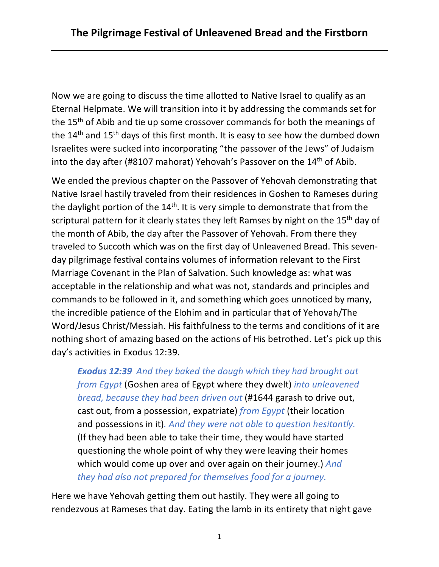Now we are going to discuss the time allotted to Native Israel to qualify as an Eternal Helpmate. We will transition into it by addressing the commands set for the 15<sup>th</sup> of Abib and tie up some crossover commands for both the meanings of the 14<sup>th</sup> and 15<sup>th</sup> days of this first month. It is easy to see how the dumbed down Israelites were sucked into incorporating "the passover of the Jews" of Judaism into the day after (#8107 mahorat) Yehovah's Passover on the 14th of Abib.

We ended the previous chapter on the Passover of Yehovah demonstrating that Native Israel hastily traveled from their residences in Goshen to Rameses during the daylight portion of the 14<sup>th</sup>. It is very simple to demonstrate that from the scriptural pattern for it clearly states they left Ramses by night on the 15<sup>th</sup> day of the month of Abib, the day after the Passover of Yehovah. From there they traveled to Succoth which was on the first day of Unleavened Bread. This sevenday pilgrimage festival contains volumes of information relevant to the First Marriage Covenant in the Plan of Salvation. Such knowledge as: what was acceptable in the relationship and what was not, standards and principles and commands to be followed in it, and something which goes unnoticed by many, the incredible patience of the Elohim and in particular that of Yehovah/The Word/Jesus Christ/Messiah. His faithfulness to the terms and conditions of it are nothing short of amazing based on the actions of His betrothed. Let's pick up this day's activities in Exodus 12:39.

*Exodus 12:39 And they baked the dough which they had brought out from Egypt* (Goshen area of Egypt where they dwelt) *into unleavened bread, because they had been driven out* (#1644 garash to drive out, cast out, from a possession, expatriate) *from Egypt* (their location and possessions in it)*. And they were not able to question hesitantly.*  (If they had been able to take their time, they would have started questioning the whole point of why they were leaving their homes which would come up over and over again on their journey.) *And they had also not prepared for themselves food for a journey.*

Here we have Yehovah getting them out hastily. They were all going to rendezvous at Rameses that day. Eating the lamb in its entirety that night gave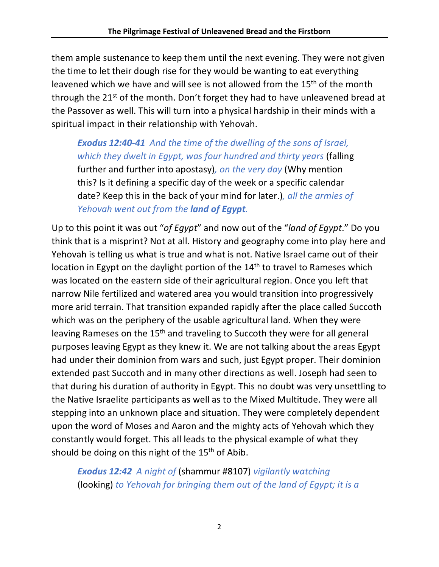them ample sustenance to keep them until the next evening. They were not given the time to let their dough rise for they would be wanting to eat everything leavened which we have and will see is not allowed from the 15<sup>th</sup> of the month through the  $21^{st}$  of the month. Don't forget they had to have unleavened bread at the Passover as well. This will turn into a physical hardship in their minds with a spiritual impact in their relationship with Yehovah.

*Exodus 12:40-41 And the time of the dwelling of the sons of Israel, which they dwelt in Egypt, was four hundred and thirty years* (falling further and further into apostasy)*, on the very day* (Why mention this? Is it defining a specific day of the week or a specific calendar date? Keep this in the back of your mind for later.)*, all the armies of Yehovah went out from the land of Egypt.*

Up to this point it was out "*of Egypt*" and now out of the "*land of Egypt*." Do you think that is a misprint? Not at all. History and geography come into play here and Yehovah is telling us what is true and what is not. Native Israel came out of their location in Egypt on the daylight portion of the 14<sup>th</sup> to travel to Rameses which was located on the eastern side of their agricultural region. Once you left that narrow Nile fertilized and watered area you would transition into progressively more arid terrain. That transition expanded rapidly after the place called Succoth which was on the periphery of the usable agricultural land. When they were leaving Rameses on the 15<sup>th</sup> and traveling to Succoth they were for all general purposes leaving Egypt as they knew it. We are not talking about the areas Egypt had under their dominion from wars and such, just Egypt proper. Their dominion extended past Succoth and in many other directions as well. Joseph had seen to that during his duration of authority in Egypt. This no doubt was very unsettling to the Native Israelite participants as well as to the Mixed Multitude. They were all stepping into an unknown place and situation. They were completely dependent upon the word of Moses and Aaron and the mighty acts of Yehovah which they constantly would forget. This all leads to the physical example of what they should be doing on this night of the  $15<sup>th</sup>$  of Abib.

*Exodus 12:42 A night of* (shammur #8107) *vigilantly watching*  (looking) *to Yehovah for bringing them out of the land of Egypt; it is a*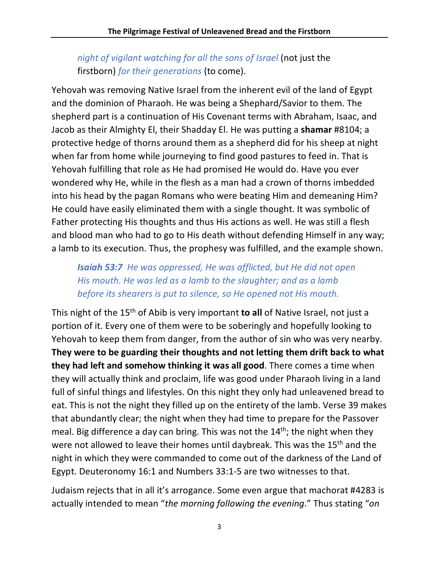# *night of vigilant watching for all the sons of Israel* (not just the firstborn) *for their generations* (to come).

Yehovah was removing Native Israel from the inherent evil of the land of Egypt and the dominion of Pharaoh. He was being a Shephard/Savior to them. The shepherd part is a continuation of His Covenant terms with Abraham, Isaac, and Jacob as their Almighty El, their Shadday El. He was putting a **shamar** #8104; a protective hedge of thorns around them as a shepherd did for his sheep at night when far from home while journeying to find good pastures to feed in. That is Yehovah fulfilling that role as He had promised He would do. Have you ever wondered why He, while in the flesh as a man had a crown of thorns imbedded into his head by the pagan Romans who were beating Him and demeaning Him? He could have easily eliminated them with a single thought. It was symbolic of Father protecting His thoughts and thus His actions as well. He was still a flesh and blood man who had to go to His death without defending Himself in any way; a lamb to its execution. Thus, the prophesy was fulfilled, and the example shown.

## *Isaiah 53:7 He was oppressed, He was afflicted, but He did not open His mouth. He was led as a lamb to the slaughter; and as a lamb before its shearers is put to silence, so He opened not His mouth.*

This night of the 15th of Abib is very important **to all** of Native Israel, not just a portion of it. Every one of them were to be soberingly and hopefully looking to Yehovah to keep them from danger, from the author of sin who was very nearby. **They were to be guarding their thoughts and not letting them drift back to what they had left and somehow thinking it was all good**. There comes a time when they will actually think and proclaim, life was good under Pharaoh living in a land full of sinful things and lifestyles. On this night they only had unleavened bread to eat. This is not the night they filled up on the entirety of the lamb. Verse 39 makes that abundantly clear; the night when they had time to prepare for the Passover meal. Big difference a day can bring. This was not the 14<sup>th</sup>; the night when they were not allowed to leave their homes until daybreak. This was the 15<sup>th</sup> and the night in which they were commanded to come out of the darkness of the Land of Egypt. Deuteronomy 16:1 and Numbers 33:1-5 are two witnesses to that.

Judaism rejects that in all it's arrogance. Some even argue that machorat #4283 is actually intended to mean "*the morning following the evening*." Thus stating "*on*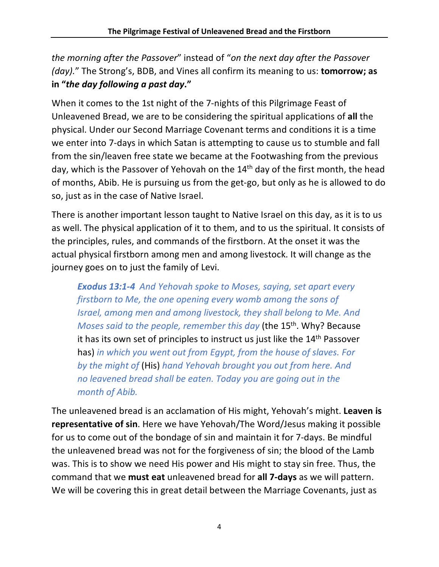*the morning after the Passover*" instead of "*on the next day after the Passover (day).*" The Strong's, BDB, and Vines all confirm its meaning to us: **tomorrow; as in "***the day following a past day***."**

When it comes to the 1st night of the 7-nights of this Pilgrimage Feast of Unleavened Bread, we are to be considering the spiritual applications of **all** the physical. Under our Second Marriage Covenant terms and conditions it is a time we enter into 7-days in which Satan is attempting to cause us to stumble and fall from the sin/leaven free state we became at the Footwashing from the previous day, which is the Passover of Yehovah on the 14<sup>th</sup> day of the first month, the head of months, Abib. He is pursuing us from the get-go, but only as he is allowed to do so, just as in the case of Native Israel.

There is another important lesson taught to Native Israel on this day, as it is to us as well. The physical application of it to them, and to us the spiritual. It consists of the principles, rules, and commands of the firstborn. At the onset it was the actual physical firstborn among men and among livestock. It will change as the journey goes on to just the family of Levi.

*Exodus 13:1-4 And Yehovah spoke to Moses, saying, set apart every firstborn to Me, the one opening every womb among the sons of Israel, among men and among livestock, they shall belong to Me. And Moses said to the people, remember this day* (the 15th. Why? Because it has its own set of principles to instruct us just like the 14<sup>th</sup> Passover has) *in which you went out from Egypt, from the house of slaves. For by the might of* (His) *hand Yehovah brought you out from here. And no leavened bread shall be eaten. Today you are going out in the month of Abib.*

The unleavened bread is an acclamation of His might, Yehovah's might. **Leaven is representative of sin**. Here we have Yehovah/The Word/Jesus making it possible for us to come out of the bondage of sin and maintain it for 7-days. Be mindful the unleavened bread was not for the forgiveness of sin; the blood of the Lamb was. This is to show we need His power and His might to stay sin free. Thus, the command that we **must eat** unleavened bread for **all 7-days** as we will pattern. We will be covering this in great detail between the Marriage Covenants, just as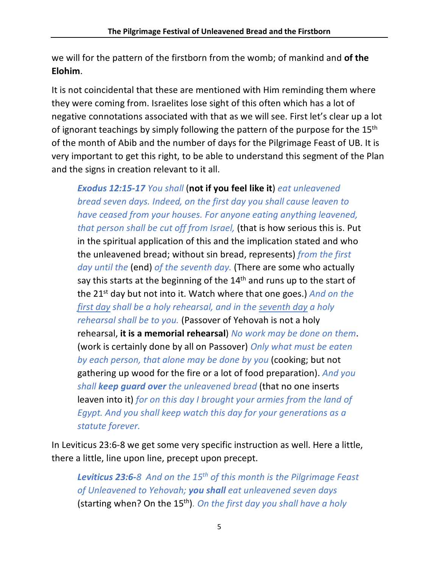we will for the pattern of the firstborn from the womb; of mankind and **of the Elohim**.

It is not coincidental that these are mentioned with Him reminding them where they were coming from. Israelites lose sight of this often which has a lot of negative connotations associated with that as we will see. First let's clear up a lot of ignorant teachings by simply following the pattern of the purpose for the 15<sup>th</sup> of the month of Abib and the number of days for the Pilgrimage Feast of UB. It is very important to get this right, to be able to understand this segment of the Plan and the signs in creation relevant to it all.

*Exodus 12:15-17 You shall* (**not if you feel like it**) *eat unleavened bread seven days. Indeed, on the first day you shall cause leaven to have ceased from your houses. For anyone eating anything leavened, that person shall be cut off from Israel,* (that is how serious this is. Put in the spiritual application of this and the implication stated and who the unleavened bread; without sin bread, represents) *from the first day until the* (end) *of the seventh day.* (There are some who actually say this starts at the beginning of the 14<sup>th</sup> and runs up to the start of the 21st day but not into it. Watch where that one goes.) *And on the first day shall be a holy rehearsal, and in the seventh day a holy rehearsal shall be to you.* (Passover of Yehovah is not a holy rehearsal, **it is a memorial rehearsal**) *No work may be done on them*. (work is certainly done by all on Passover) *Only what must be eaten by each person, that alone may be done by you* (cooking; but not gathering up wood for the fire or a lot of food preparation). *And you shall keep guard over the unleavened bread* (that no one inserts leaven into it) *for on this day I brought your armies from the land of Egypt. And you shall keep watch this day for your generations as a statute forever.*

In Leviticus 23:6-8 we get some very specific instruction as well. Here a little, there a little, line upon line, precept upon precept.

*Leviticus 23:6-8 And on the 15th of this month is the Pilgrimage Feast of Unleavened to Yehovah; you shall eat unleavened seven days*  (starting when? On the 15th)*. On the first day you shall have a holy*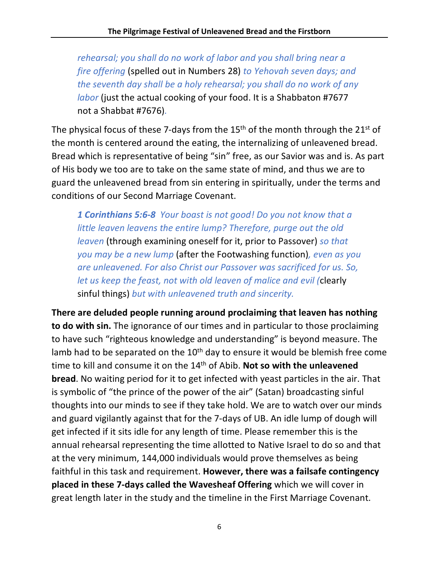*rehearsal; you shall do no work of labor and you shall bring near a fire offering* (spelled out in Numbers 28) *to Yehovah seven days; and the seventh day shall be a holy rehearsal; you shall do no work of any labor* (just the actual cooking of your food. It is a Shabbaton #7677 not a Shabbat #7676)*.*

The physical focus of these 7-days from the  $15<sup>th</sup>$  of the month through the  $21<sup>st</sup>$  of the month is centered around the eating, the internalizing of unleavened bread. Bread which is representative of being "sin" free, as our Savior was and is. As part of His body we too are to take on the same state of mind, and thus we are to guard the unleavened bread from sin entering in spiritually, under the terms and conditions of our Second Marriage Covenant.

*1 Corinthians 5:6-8 Your boast is not good! Do you not know that a little leaven leavens the entire lump? Therefore, purge out the old leaven* (through examining oneself for it, prior to Passover) *so that you may be a new lump* (after the Footwashing function)*, even as you are unleavened. For also Christ our Passover was sacrificed for us. So, let us keep the feast, not with old leaven of malice and evil (*clearly sinful things) *but with unleavened truth and sincerity.*

**There are deluded people running around proclaiming that leaven has nothing to do with sin.** The ignorance of our times and in particular to those proclaiming to have such "righteous knowledge and understanding" is beyond measure. The lamb had to be separated on the  $10<sup>th</sup>$  day to ensure it would be blemish free come time to kill and consume it on the 14th of Abib. **Not so with the unleavened bread**. No waiting period for it to get infected with yeast particles in the air. That is symbolic of "the prince of the power of the air" (Satan) broadcasting sinful thoughts into our minds to see if they take hold. We are to watch over our minds and guard vigilantly against that for the 7-days of UB. An idle lump of dough will get infected if it sits idle for any length of time. Please remember this is the annual rehearsal representing the time allotted to Native Israel to do so and that at the very minimum, 144,000 individuals would prove themselves as being faithful in this task and requirement. **However, there was a failsafe contingency placed in these 7-days called the Wavesheaf Offering** which we will cover in great length later in the study and the timeline in the First Marriage Covenant.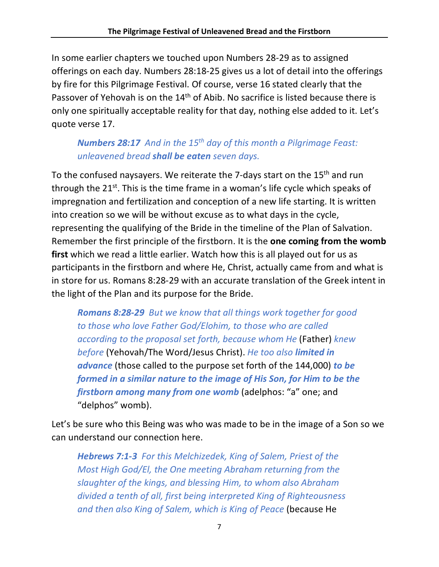In some earlier chapters we touched upon Numbers 28-29 as to assigned offerings on each day. Numbers 28:18-25 gives us a lot of detail into the offerings by fire for this Pilgrimage Festival. Of course, verse 16 stated clearly that the Passover of Yehovah is on the 14<sup>th</sup> of Abib. No sacrifice is listed because there is only one spiritually acceptable reality for that day, nothing else added to it. Let's quote verse 17.

# *Numbers 28:17 And in the 15th day of this month a Pilgrimage Feast: unleavened bread shall be eaten seven days.*

To the confused naysayers. We reiterate the 7-days start on the 15<sup>th</sup> and run through the  $21^{st}$ . This is the time frame in a woman's life cycle which speaks of impregnation and fertilization and conception of a new life starting. It is written into creation so we will be without excuse as to what days in the cycle, representing the qualifying of the Bride in the timeline of the Plan of Salvation. Remember the first principle of the firstborn. It is the **one coming from the womb first** which we read a little earlier. Watch how this is all played out for us as participants in the firstborn and where He, Christ, actually came from and what is in store for us. Romans 8:28-29 with an accurate translation of the Greek intent in the light of the Plan and its purpose for the Bride.

*Romans 8:28-29 But we know that all things work together for good to those who love Father God/Elohim, to those who are called according to the proposal set forth, because whom He* (Father) *knew before* (Yehovah/The Word/Jesus Christ). *He too also limited in advance* (those called to the purpose set forth of the 144,000) *to be formed in a similar nature to the image of His Son, for Him to be the firstborn among many from one womb* (adelphos: "a" one; and "delphos" womb).

Let's be sure who this Being was who was made to be in the image of a Son so we can understand our connection here.

*Hebrews 7:1-3 For this Melchizedek, King of Salem, Priest of the Most High God/El, the One meeting Abraham returning from the slaughter of the kings, and blessing Him, to whom also Abraham divided a tenth of all, first being interpreted King of Righteousness and then also King of Salem, which is King of Peace* (because He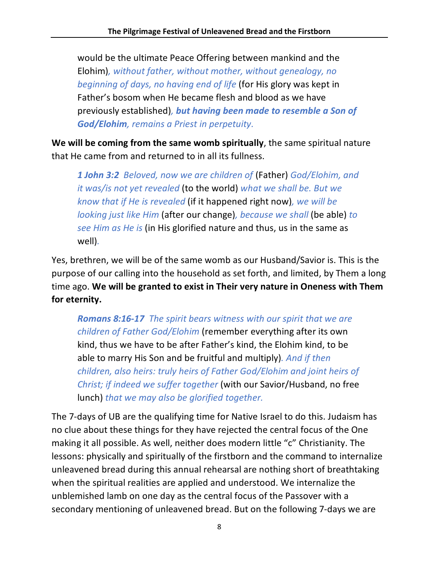would be the ultimate Peace Offering between mankind and the Elohim)*, without father, without mother, without genealogy, no beginning of days, no having end of life* (for His glory was kept in Father's bosom when He became flesh and blood as we have previously established)*, but having been made to resemble a Son of God/Elohim, remains a Priest in perpetuity.*

**We will be coming from the same womb spiritually**, the same spiritual nature that He came from and returned to in all its fullness.

*1 John 3:2 Beloved, now we are children of* (Father) *God/Elohim, and it was/is not yet revealed* (to the world) *what we shall be. But we know that if He is revealed* (if it happened right now)*, we will be looking just like Him* (after our change)*, because we shall* (be able) *to see Him as He is* (in His glorified nature and thus, us in the same as well)*.*

Yes, brethren, we will be of the same womb as our Husband/Savior is. This is the purpose of our calling into the household as set forth, and limited, by Them a long time ago. **We will be granted to exist in Their very nature in Oneness with Them for eternity.**

*Romans 8:16-17 The spirit bears witness with our spirit that we are children of Father God/Elohim* (remember everything after its own kind, thus we have to be after Father's kind, the Elohim kind, to be able to marry His Son and be fruitful and multiply)*. And if then children, also heirs: truly heirs of Father God/Elohim and joint heirs of Christ; if indeed we suffer together* (with our Savior/Husband, no free lunch) *that we may also be glorified together.*

The 7-days of UB are the qualifying time for Native Israel to do this. Judaism has no clue about these things for they have rejected the central focus of the One making it all possible. As well, neither does modern little "c" Christianity. The lessons: physically and spiritually of the firstborn and the command to internalize unleavened bread during this annual rehearsal are nothing short of breathtaking when the spiritual realities are applied and understood. We internalize the unblemished lamb on one day as the central focus of the Passover with a secondary mentioning of unleavened bread. But on the following 7-days we are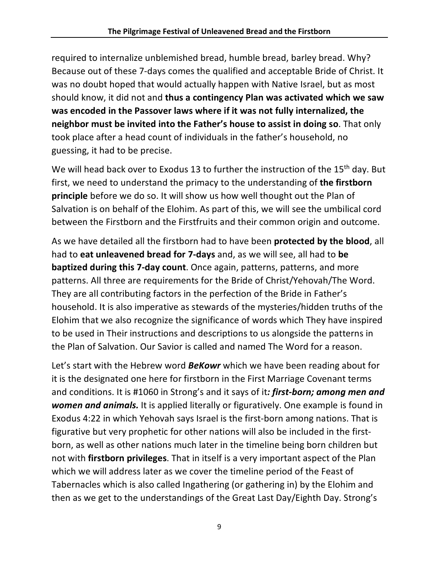required to internalize unblemished bread, humble bread, barley bread. Why? Because out of these 7-days comes the qualified and acceptable Bride of Christ. It was no doubt hoped that would actually happen with Native Israel, but as most should know, it did not and **thus a contingency Plan was activated which we saw was encoded in the Passover laws where if it was not fully internalized, the neighbor must be invited into the Father's house to assist in doing so**. That only took place after a head count of individuals in the father's household, no guessing, it had to be precise.

We will head back over to Exodus 13 to further the instruction of the 15<sup>th</sup> day. But first, we need to understand the primacy to the understanding of **the firstborn principle** before we do so. It will show us how well thought out the Plan of Salvation is on behalf of the Elohim. As part of this, we will see the umbilical cord between the Firstborn and the Firstfruits and their common origin and outcome.

As we have detailed all the firstborn had to have been **protected by the blood**, all had to **eat unleavened bread for 7-days** and, as we will see, all had to **be baptized during this 7-day count**. Once again, patterns, patterns, and more patterns. All three are requirements for the Bride of Christ/Yehovah/The Word. They are all contributing factors in the perfection of the Bride in Father's household. It is also imperative as stewards of the mysteries/hidden truths of the Elohim that we also recognize the significance of words which They have inspired to be used in Their instructions and descriptions to us alongside the patterns in the Plan of Salvation. Our Savior is called and named The Word for a reason.

Let's start with the Hebrew word *BeKowr* which we have been reading about for it is the designated one here for firstborn in the First Marriage Covenant terms and conditions. It is #1060 in Strong's and it says of it*: first-born; among men and women and animals.* It is applied literally or figuratively. One example is found in Exodus 4:22 in which Yehovah says Israel is the first-born among nations. That is figurative but very prophetic for other nations will also be included in the firstborn, as well as other nations much later in the timeline being born children but not with **firstborn privileges**. That in itself is a very important aspect of the Plan which we will address later as we cover the timeline period of the Feast of Tabernacles which is also called Ingathering (or gathering in) by the Elohim and then as we get to the understandings of the Great Last Day/Eighth Day. Strong's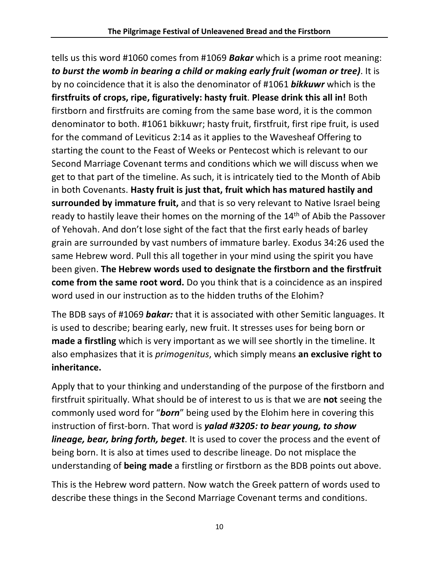tells us this word #1060 comes from #1069 *Bakar* which is a prime root meaning: *to burst the womb in bearing a child or making early fruit (woman or tree)*. It is by no coincidence that it is also the denominator of #1061 *bikkuwr* which is the **firstfruits of crops, ripe, figuratively: hasty fruit**. **Please drink this all in!** Both firstborn and firstfruits are coming from the same base word, it is the common denominator to both. #1061 bikkuwr; hasty fruit, firstfruit, first ripe fruit, is used for the command of Leviticus 2:14 as it applies to the Wavesheaf Offering to starting the count to the Feast of Weeks or Pentecost which is relevant to our Second Marriage Covenant terms and conditions which we will discuss when we get to that part of the timeline. As such, it is intricately tied to the Month of Abib in both Covenants. **Hasty fruit is just that, fruit which has matured hastily and surrounded by immature fruit,** and that is so very relevant to Native Israel being ready to hastily leave their homes on the morning of the 14<sup>th</sup> of Abib the Passover of Yehovah. And don't lose sight of the fact that the first early heads of barley grain are surrounded by vast numbers of immature barley. Exodus 34:26 used the same Hebrew word. Pull this all together in your mind using the spirit you have been given. **The Hebrew words used to designate the firstborn and the firstfruit come from the same root word.** Do you think that is a coincidence as an inspired word used in our instruction as to the hidden truths of the Elohim?

The BDB says of #1069 *bakar:* that it is associated with other Semitic languages. It is used to describe; bearing early, new fruit. It stresses uses for being born or **made a firstling** which is very important as we will see shortly in the timeline. It also emphasizes that it is *primogenitus*, which simply means **an exclusive right to inheritance.** 

Apply that to your thinking and understanding of the purpose of the firstborn and firstfruit spiritually. What should be of interest to us is that we are **not** seeing the commonly used word for "*born*" being used by the Elohim here in covering this instruction of first-born. That word is *yalad #3205: to bear young, to show lineage, bear, bring forth, beget*. It is used to cover the process and the event of being born. It is also at times used to describe lineage. Do not misplace the understanding of **being made** a firstling or firstborn as the BDB points out above.

This is the Hebrew word pattern. Now watch the Greek pattern of words used to describe these things in the Second Marriage Covenant terms and conditions.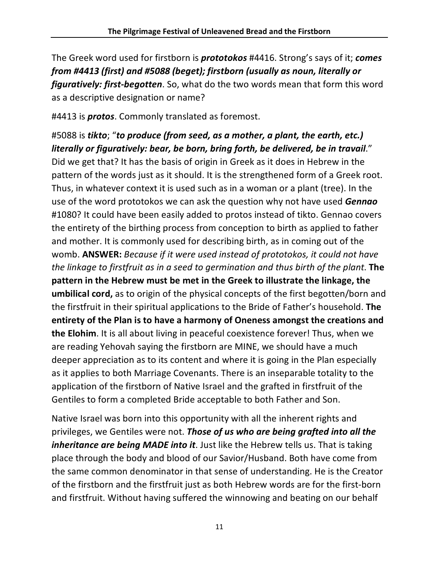The Greek word used for firstborn is *prototokos* #4416. Strong's says of it; *comes from #4413 (first) and #5088 (beget); firstborn (usually as noun, literally or figuratively: first-begotten*. So, what do the two words mean that form this word as a descriptive designation or name?

#4413 is *protos*. Commonly translated as foremost.

#5088 is *tikto*; "*to produce (from seed, as a mother, a plant, the earth, etc.) literally or figuratively: bear, be born, bring forth, be delivered, be in travail*." Did we get that? It has the basis of origin in Greek as it does in Hebrew in the pattern of the words just as it should. It is the strengthened form of a Greek root. Thus, in whatever context it is used such as in a woman or a plant (tree). In the use of the word prototokos we can ask the question why not have used *Gennao* #1080? It could have been easily added to protos instead of tikto. Gennao covers the entirety of the birthing process from conception to birth as applied to father and mother. It is commonly used for describing birth, as in coming out of the womb. **ANSWER:** *Because if it were used instead of prototokos, it could not have the linkage to firstfruit as in a seed to germination and thus birth of the plant*. **The pattern in the Hebrew must be met in the Greek to illustrate the linkage, the umbilical cord,** as to origin of the physical concepts of the first begotten/born and the firstfruit in their spiritual applications to the Bride of Father's household. **The entirety of the Plan is to have a harmony of Oneness amongst the creations and the Elohim**. It is all about living in peaceful coexistence forever! Thus, when we are reading Yehovah saying the firstborn are MINE, we should have a much deeper appreciation as to its content and where it is going in the Plan especially as it applies to both Marriage Covenants. There is an inseparable totality to the application of the firstborn of Native Israel and the grafted in firstfruit of the Gentiles to form a completed Bride acceptable to both Father and Son.

Native Israel was born into this opportunity with all the inherent rights and privileges, we Gentiles were not. *Those of us who are being grafted into all the inheritance are being MADE into it*. Just like the Hebrew tells us. That is taking place through the body and blood of our Savior/Husband. Both have come from the same common denominator in that sense of understanding. He is the Creator of the firstborn and the firstfruit just as both Hebrew words are for the first-born and firstfruit. Without having suffered the winnowing and beating on our behalf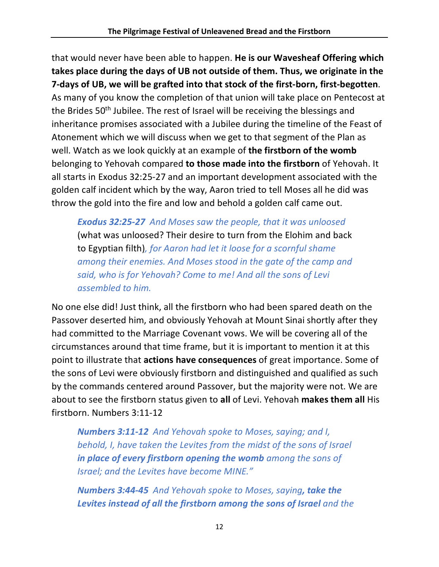that would never have been able to happen. **He is our Wavesheaf Offering which takes place during the days of UB not outside of them. Thus, we originate in the 7-days of UB, we will be grafted into that stock of the first-born, first-begotten**. As many of you know the completion of that union will take place on Pentecost at the Brides 50<sup>th</sup> Jubilee. The rest of Israel will be receiving the blessings and inheritance promises associated with a Jubilee during the timeline of the Feast of Atonement which we will discuss when we get to that segment of the Plan as well. Watch as we look quickly at an example of **the firstborn of the womb** belonging to Yehovah compared **to those made into the firstborn** of Yehovah. It all starts in Exodus 32:25-27 and an important development associated with the golden calf incident which by the way, Aaron tried to tell Moses all he did was throw the gold into the fire and low and behold a golden calf came out.

*Exodus 32:25-27 And Moses saw the people, that it was unloosed*  (what was unloosed? Their desire to turn from the Elohim and back to Egyptian filth)*, for Aaron had let it loose for a scornful shame among their enemies. And Moses stood in the gate of the camp and said, who is for Yehovah? Come to me! And all the sons of Levi assembled to him.*

No one else did! Just think, all the firstborn who had been spared death on the Passover deserted him, and obviously Yehovah at Mount Sinai shortly after they had committed to the Marriage Covenant vows. We will be covering all of the circumstances around that time frame, but it is important to mention it at this point to illustrate that **actions have consequences** of great importance. Some of the sons of Levi were obviously firstborn and distinguished and qualified as such by the commands centered around Passover, but the majority were not. We are about to see the firstborn status given to **all** of Levi. Yehovah **makes them all** His firstborn. Numbers 3:11-12

*Numbers 3:11-12 And Yehovah spoke to Moses, saying; and I, behold, I, have taken the Levites from the midst of the sons of Israel in place of every firstborn opening the womb among the sons of Israel; and the Levites have become MINE."*

*Numbers 3:44-45 And Yehovah spoke to Moses, saying, take the Levites instead of all the firstborn among the sons of Israel and the*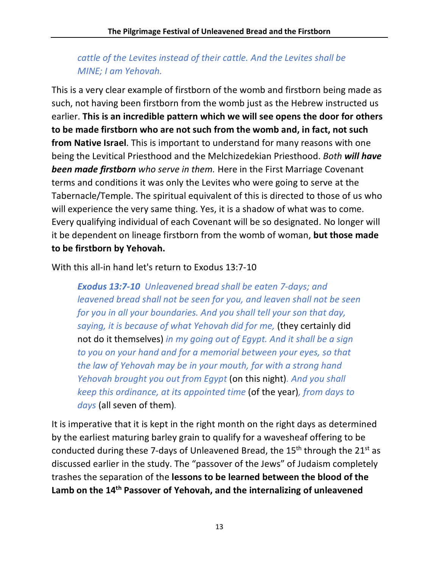# *cattle of the Levites instead of their cattle. And the Levites shall be MINE; I am Yehovah.*

This is a very clear example of firstborn of the womb and firstborn being made as such, not having been firstborn from the womb just as the Hebrew instructed us earlier. **This is an incredible pattern which we will see opens the door for others to be made firstborn who are not such from the womb and, in fact, not such from Native Israel**. This is important to understand for many reasons with one being the Levitical Priesthood and the Melchizedekian Priesthood. *Both will have been made firstborn who serve in them.* Here in the First Marriage Covenant terms and conditions it was only the Levites who were going to serve at the Tabernacle/Temple. The spiritual equivalent of this is directed to those of us who will experience the very same thing. Yes, it is a shadow of what was to come. Every qualifying individual of each Covenant will be so designated. No longer will it be dependent on lineage firstborn from the womb of woman, **but those made to be firstborn by Yehovah.**

With this all-in hand let's return to Exodus 13:7-10

*Exodus 13:7-10 Unleavened bread shall be eaten 7-days; and leavened bread shall not be seen for you, and leaven shall not be seen for you in all your boundaries. And you shall tell your son that day, saying, it is because of what Yehovah did for me,* (they certainly did not do it themselves) *in my going out of Egypt. And it shall be a sign to you on your hand and for a memorial between your eyes, so that the law of Yehovah may be in your mouth, for with a strong hand Yehovah brought you out from Egypt* (on this night)*. And you shall keep this ordinance, at its appointed time* (of the year)*, from days to days* (all seven of them)*.*

It is imperative that it is kept in the right month on the right days as determined by the earliest maturing barley grain to qualify for a wavesheaf offering to be conducted during these 7-days of Unleavened Bread, the  $15<sup>th</sup>$  through the  $21<sup>st</sup>$  as discussed earlier in the study. The "passover of the Jews" of Judaism completely trashes the separation of the **lessons to be learned between the blood of the Lamb on the 14th Passover of Yehovah, and the internalizing of unleavened**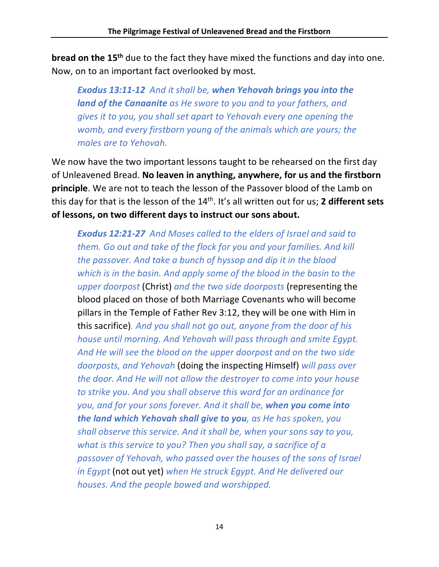**bread on the 15<sup>th</sup>** due to the fact they have mixed the functions and day into one. Now, on to an important fact overlooked by most.

*Exodus 13:11-12 And it shall be, when Yehovah brings you into the land of the Canaanite as He swore to you and to your fathers, and gives it to you, you shall set apart to Yehovah every one opening the womb, and every firstborn young of the animals which are yours; the males are to Yehovah.*

We now have the two important lessons taught to be rehearsed on the first day of Unleavened Bread. **No leaven in anything, anywhere, for us and the firstborn principle**. We are not to teach the lesson of the Passover blood of the Lamb on this day for that is the lesson of the 14th. It's all written out for us; **2 different sets of lessons, on two different days to instruct our sons about.**

*Exodus 12:21-27 And Moses called to the elders of Israel and said to them. Go out and take of the flock for you and your families. And kill the passover. And take a bunch of hyssop and dip it in the blood which is in the basin. And apply some of the blood in the basin to the upper doorpost* (Christ) *and the two side doorposts* (representing the blood placed on those of both Marriage Covenants who will become pillars in the Temple of Father Rev 3:12, they will be one with Him in this sacrifice)*. And you shall not go out, anyone from the door of his house until morning. And Yehovah will pass through and smite Egypt. And He will see the blood on the upper doorpost and on the two side doorposts, and Yehovah* (doing the inspecting Himself) *will pass over the door. And He will not allow the destroyer to come into your house to strike you. And you shall observe this word for an ordinance for you, and for your sons forever. And it shall be, when you come into the land which Yehovah shall give to you, as He has spoken, you shall observe this service. And it shall be, when your sons say to you, what is this service to you? Then you shall say, a sacrifice of a passover of Yehovah, who passed over the houses of the sons of Israel in Egypt* (not out yet) *when He struck Egypt. And He delivered our houses. And the people bowed and worshipped.*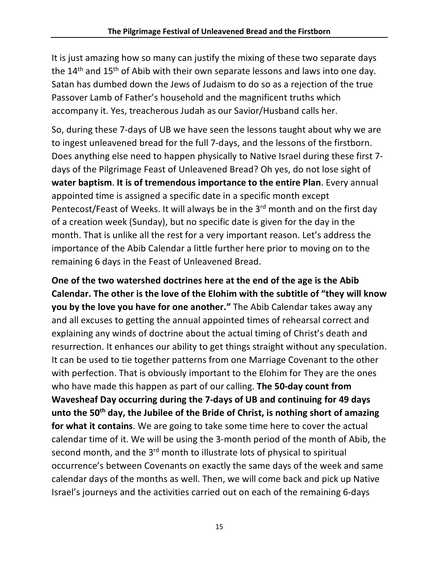It is just amazing how so many can justify the mixing of these two separate days the 14<sup>th</sup> and 15<sup>th</sup> of Abib with their own separate lessons and laws into one day. Satan has dumbed down the Jews of Judaism to do so as a rejection of the true Passover Lamb of Father's household and the magnificent truths which accompany it. Yes, treacherous Judah as our Savior/Husband calls her.

So, during these 7-days of UB we have seen the lessons taught about why we are to ingest unleavened bread for the full 7-days, and the lessons of the firstborn. Does anything else need to happen physically to Native Israel during these first 7 days of the Pilgrimage Feast of Unleavened Bread? Oh yes, do not lose sight of **water baptism**. **It is of tremendous importance to the entire Plan**. Every annual appointed time is assigned a specific date in a specific month except Pentecost/Feast of Weeks. It will always be in the 3<sup>rd</sup> month and on the first day of a creation week (Sunday), but no specific date is given for the day in the month. That is unlike all the rest for a very important reason. Let's address the importance of the Abib Calendar a little further here prior to moving on to the remaining 6 days in the Feast of Unleavened Bread.

**One of the two watershed doctrines here at the end of the age is the Abib Calendar. The other is the love of the Elohim with the subtitle of "they will know you by the love you have for one another."** The Abib Calendar takes away any and all excuses to getting the annual appointed times of rehearsal correct and explaining any winds of doctrine about the actual timing of Christ's death and resurrection. It enhances our ability to get things straight without any speculation. It can be used to tie together patterns from one Marriage Covenant to the other with perfection. That is obviously important to the Elohim for They are the ones who have made this happen as part of our calling. **The 50-day count from Wavesheaf Day occurring during the 7-days of UB and continuing for 49 days unto the 50th day, the Jubilee of the Bride of Christ, is nothing short of amazing for what it contains**. We are going to take some time here to cover the actual calendar time of it. We will be using the 3-month period of the month of Abib, the second month, and the 3<sup>rd</sup> month to illustrate lots of physical to spiritual occurrence's between Covenants on exactly the same days of the week and same calendar days of the months as well. Then, we will come back and pick up Native Israel's journeys and the activities carried out on each of the remaining 6-days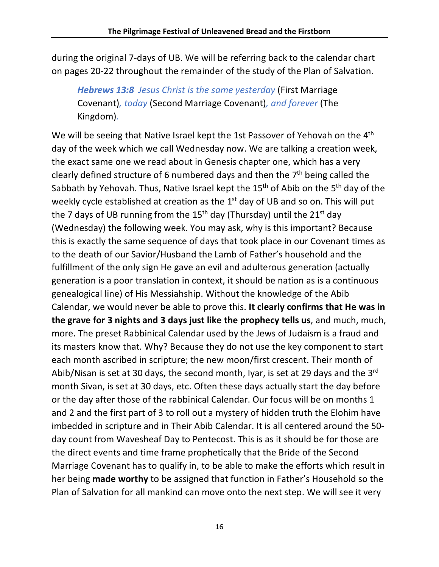during the original 7-days of UB. We will be referring back to the calendar chart on pages 20-22 throughout the remainder of the study of the Plan of Salvation.

*Hebrews 13:8 Jesus Christ is the same yesterday* (First Marriage Covenant)*, today* (Second Marriage Covenant)*, and forever* (The Kingdom)*.*

We will be seeing that Native Israel kept the 1st Passover of Yehovah on the 4<sup>th</sup> day of the week which we call Wednesday now. We are talking a creation week, the exact same one we read about in Genesis chapter one, which has a very clearly defined structure of 6 numbered days and then the 7th being called the Sabbath by Yehovah. Thus, Native Israel kept the 15<sup>th</sup> of Abib on the 5<sup>th</sup> day of the weekly cycle established at creation as the 1<sup>st</sup> day of UB and so on. This will put the 7 days of UB running from the 15<sup>th</sup> day (Thursday) until the 21<sup>st</sup> day (Wednesday) the following week. You may ask, why is this important? Because this is exactly the same sequence of days that took place in our Covenant times as to the death of our Savior/Husband the Lamb of Father's household and the fulfillment of the only sign He gave an evil and adulterous generation (actually generation is a poor translation in context, it should be nation as is a continuous genealogical line) of His Messiahship. Without the knowledge of the Abib Calendar, we would never be able to prove this. **It clearly confirms that He was in the grave for 3 nights and 3 days just like the prophecy tells us**, and much, much, more. The preset Rabbinical Calendar used by the Jews of Judaism is a fraud and its masters know that. Why? Because they do not use the key component to start each month ascribed in scripture; the new moon/first crescent. Their month of Abib/Nisan is set at 30 days, the second month, Iyar, is set at 29 days and the  $3^{rd}$ month Sivan, is set at 30 days, etc. Often these days actually start the day before or the day after those of the rabbinical Calendar. Our focus will be on months 1 and 2 and the first part of 3 to roll out a mystery of hidden truth the Elohim have imbedded in scripture and in Their Abib Calendar. It is all centered around the 50 day count from Wavesheaf Day to Pentecost. This is as it should be for those are the direct events and time frame prophetically that the Bride of the Second Marriage Covenant has to qualify in, to be able to make the efforts which result in her being **made worthy** to be assigned that function in Father's Household so the Plan of Salvation for all mankind can move onto the next step. We will see it very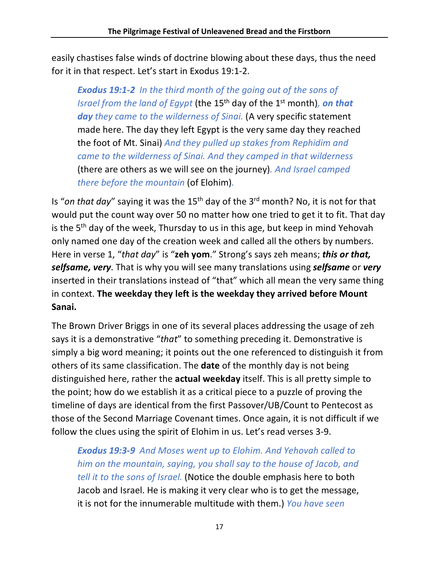easily chastises false winds of doctrine blowing about these days, thus the need for it in that respect. Let's start in Exodus 19:1-2.

*Exodus 19:1-2 In the third month of the going out of the sons of Israel from the land of Egypt* (the 15<sup>th</sup> day of the 1<sup>st</sup> month), *on that* day *they came to the wilderness of Sinai*. (A very specific statement made here. The day they left Egypt is the very same day they reached the foot of Mt. Sinai) *And they pulled up stakes from Rephidim and came to the wilderness of Sinai. And they camped in that wilderness*  (there are others as we will see on the journey)*. And Israel camped there before the mountain* (of Elohim)*.*

Is "*on that day*" saying it was the 15th day of the 3rd month? No, it is not for that would put the count way over 50 no matter how one tried to get it to fit. That day is the  $5<sup>th</sup>$  day of the week, Thursday to us in this age, but keep in mind Yehovah only named one day of the creation week and called all the others by numbers. Here in verse 1, "*that day*" is "**zeh yom**." Strong's says zeh means; *this or that, selfsame, very*. That is why you will see many translations using *selfsame* or *very* inserted in their translations instead of "that" which all mean the very same thing in context. **The weekday they left is the weekday they arrived before Mount Sanai.** 

The Brown Driver Briggs in one of its several places addressing the usage of zeh says it is a demonstrative "*that*" to something preceding it. Demonstrative is simply a big word meaning; it points out the one referenced to distinguish it from others of its same classification. The **date** of the monthly day is not being distinguished here, rather the **actual weekday** itself. This is all pretty simple to the point; how do we establish it as a critical piece to a puzzle of proving the timeline of days are identical from the first Passover/UB/Count to Pentecost as those of the Second Marriage Covenant times. Once again, it is not difficult if we follow the clues using the spirit of Elohim in us. Let's read verses 3-9.

*Exodus 19:3-9 And Moses went up to Elohim. And Yehovah called to him on the mountain, saying, you shall say to the house of Jacob, and tell it to the sons of Israel.* (Notice the double emphasis here to both Jacob and Israel. He is making it very clear who is to get the message, it is not for the innumerable multitude with them.) *You have seen*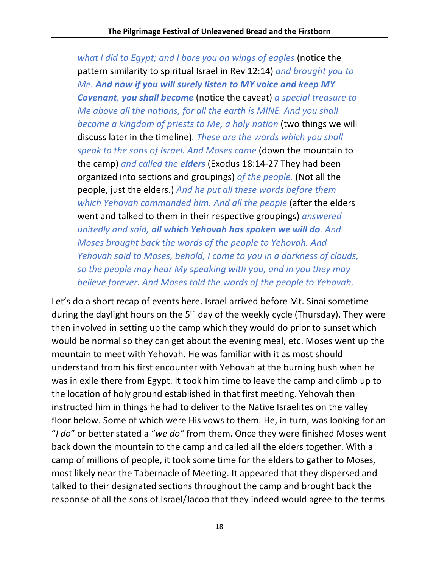*what I did to Egypt; and I bore you on wings of eagles* (notice the pattern similarity to spiritual Israel in Rev 12:14) *and brought you to Me. And now if you will surely listen to MY voice and keep MY Covenant, you shall become* (notice the caveat) *a special treasure to Me above all the nations, for all the earth is MINE. And you shall become a kingdom of priests to Me, a holy nation* (two things we will discuss later in the timeline)*. These are the words which you shall speak to the sons of Israel. And Moses came* (down the mountain to the camp) *and called the elders* (Exodus 18:14-27 They had been organized into sections and groupings) *of the people.* (Not all the people, just the elders.) *And he put all these words before them which Yehovah commanded him. And all the people* (after the elders went and talked to them in their respective groupings) *answered unitedly and said, all which Yehovah has spoken we will do. And Moses brought back the words of the people to Yehovah. And Yehovah said to Moses, behold, I come to you in a darkness of clouds, so the people may hear My speaking with you, and in you they may believe forever. And Moses told the words of the people to Yehovah.*

Let's do a short recap of events here. Israel arrived before Mt. Sinai sometime during the daylight hours on the 5<sup>th</sup> day of the weekly cycle (Thursday). They were then involved in setting up the camp which they would do prior to sunset which would be normal so they can get about the evening meal, etc. Moses went up the mountain to meet with Yehovah. He was familiar with it as most should understand from his first encounter with Yehovah at the burning bush when he was in exile there from Egypt. It took him time to leave the camp and climb up to the location of holy ground established in that first meeting. Yehovah then instructed him in things he had to deliver to the Native Israelites on the valley floor below. Some of which were His vows to them. He, in turn, was looking for an "*I do*" or better stated a "*we do"* from them. Once they were finished Moses went back down the mountain to the camp and called all the elders together. With a camp of millions of people, it took some time for the elders to gather to Moses, most likely near the Tabernacle of Meeting. It appeared that they dispersed and talked to their designated sections throughout the camp and brought back the response of all the sons of Israel/Jacob that they indeed would agree to the terms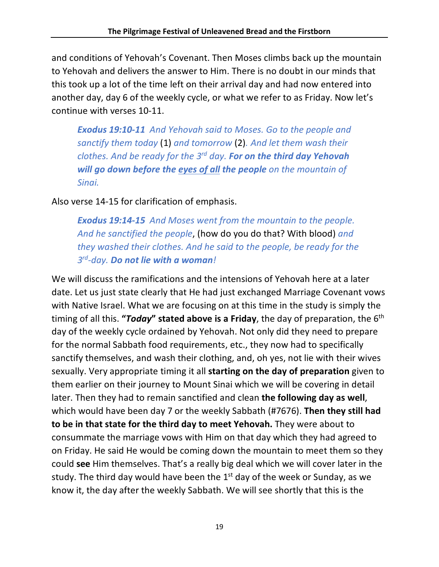and conditions of Yehovah's Covenant. Then Moses climbs back up the mountain to Yehovah and delivers the answer to Him. There is no doubt in our minds that this took up a lot of the time left on their arrival day and had now entered into another day, day 6 of the weekly cycle, or what we refer to as Friday. Now let's continue with verses 10-11.

*Exodus 19:10-11 And Yehovah said to Moses. Go to the people and sanctify them today* (1) *and tomorrow* (2)*. And let them wash their clothes. And be ready for the 3rd day. For on the third day Yehovah will go down before the eyes of all the people on the mountain of Sinai.*

Also verse 14-15 for clarification of emphasis.

*Exodus 19:14-15 And Moses went from the mountain to the people. And he sanctified the people*, (how do you do that? With blood) *and they washed their clothes. And he said to the people, be ready for the 3rd-day. Do not lie with a woman!*

We will discuss the ramifications and the intensions of Yehovah here at a later date. Let us just state clearly that He had just exchanged Marriage Covenant vows with Native Israel. What we are focusing on at this time in the study is simply the timing of all this. **"***Today***" stated above is a Friday**, the day of preparation, the 6th day of the weekly cycle ordained by Yehovah. Not only did they need to prepare for the normal Sabbath food requirements, etc., they now had to specifically sanctify themselves, and wash their clothing, and, oh yes, not lie with their wives sexually. Very appropriate timing it all **starting on the day of preparation** given to them earlier on their journey to Mount Sinai which we will be covering in detail later. Then they had to remain sanctified and clean **the following day as well**, which would have been day 7 or the weekly Sabbath (#7676). **Then they still had to be in that state for the third day to meet Yehovah.** They were about to consummate the marriage vows with Him on that day which they had agreed to on Friday. He said He would be coming down the mountain to meet them so they could **see** Him themselves. That's a really big deal which we will cover later in the study. The third day would have been the  $1<sup>st</sup>$  day of the week or Sunday, as we know it, the day after the weekly Sabbath. We will see shortly that this is the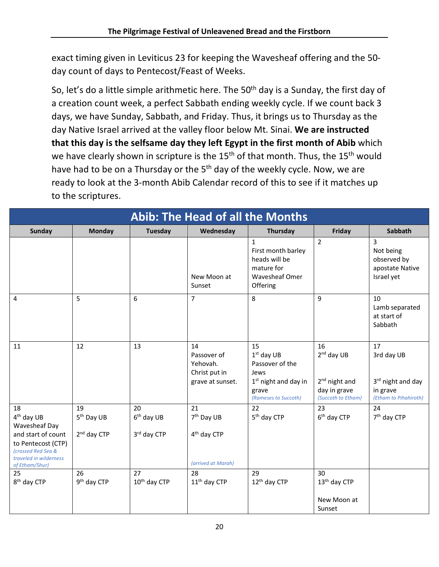exact timing given in Leviticus 23 for keeping the Wavesheaf offering and the 50 day count of days to Pentecost/Feast of Weeks.

So, let's do a little simple arithmetic here. The  $50<sup>th</sup>$  day is a Sunday, the first day of a creation count week, a perfect Sabbath ending weekly cycle. If we count back 3 days, we have Sunday, Sabbath, and Friday. Thus, it brings us to Thursday as the day Native Israel arrived at the valley floor below Mt. Sinai. **We are instructed that this day is the selfsame day they left Egypt in the first month of Abib** which we have clearly shown in scripture is the 15<sup>th</sup> of that month. Thus, the 15<sup>th</sup> would have had to be on a Thursday or the 5<sup>th</sup> day of the weekly cycle. Now, we are ready to look at the 3-month Abib Calendar record of this to see if it matches up to the scriptures.

| <b>Abib: The Head of all the Months</b>                                                                                                                     |                                                         |                                   |                                                                               |                                                                                                          |                                                                             |                                                                            |
|-------------------------------------------------------------------------------------------------------------------------------------------------------------|---------------------------------------------------------|-----------------------------------|-------------------------------------------------------------------------------|----------------------------------------------------------------------------------------------------------|-----------------------------------------------------------------------------|----------------------------------------------------------------------------|
| <b>Sunday</b>                                                                                                                                               | <b>Monday</b>                                           | <b>Tuesday</b>                    | Wednesday                                                                     | Thursday                                                                                                 | Friday                                                                      | Sabbath                                                                    |
|                                                                                                                                                             |                                                         |                                   | New Moon at<br>Sunset                                                         | $\mathbf{1}$<br>First month barley<br>heads will be<br>mature for<br>Wavesheaf Omer<br>Offering          | $\overline{2}$                                                              | 3<br>Not being<br>observed by<br>apostate Native<br>Israel yet             |
| 4                                                                                                                                                           | 5                                                       | 6                                 | $\overline{7}$                                                                | 8                                                                                                        | 9                                                                           | 10<br>Lamb separated<br>at start of<br>Sabbath                             |
| 11                                                                                                                                                          | 12                                                      | 13                                | 14<br>Passover of<br>Yehovah.<br>Christ put in<br>grave at sunset.            | 15<br>$1st$ day UB<br>Passover of the<br>Jews<br>$1st$ night and day in<br>grave<br>(Rameses to Succoth) | 16<br>$2nd$ day UB<br>$2nd$ night and<br>day in grave<br>(Succoth to Etham) | 17<br>3rd day UB<br>3rd night and day<br>in grave<br>(Etham to Pihahiroth) |
| 18<br>4 <sup>th</sup> day UB<br>Wavesheaf Day<br>and start of count<br>to Pentecost (CTP)<br>(crossed Red Sea &<br>traveled in wilderness<br>of Etham/Shur) | 19<br>5 <sup>th</sup> Day UB<br>2 <sup>nd</sup> day CTP | 20<br>$6th$ day UB<br>3rd day CTP | 21<br>7 <sup>th</sup> Day UB<br>4 <sup>th</sup> day CTP<br>(arrived at Marah) | 22<br>5 <sup>th</sup> day CTP                                                                            | 23<br>6 <sup>th</sup> day CTP                                               | 24<br>7 <sup>th</sup> day CTP                                              |
| 25<br>8 <sup>th</sup> day CTP                                                                                                                               | 26<br>9 <sup>th</sup> day CTP                           | 27<br>10 <sup>th</sup> day CTP    | 28<br>11 <sup>th</sup> day CTP                                                | 29<br>12 <sup>th</sup> day CTP                                                                           | 30<br>13 <sup>th</sup> day CTP<br>New Moon at<br>Sunset                     |                                                                            |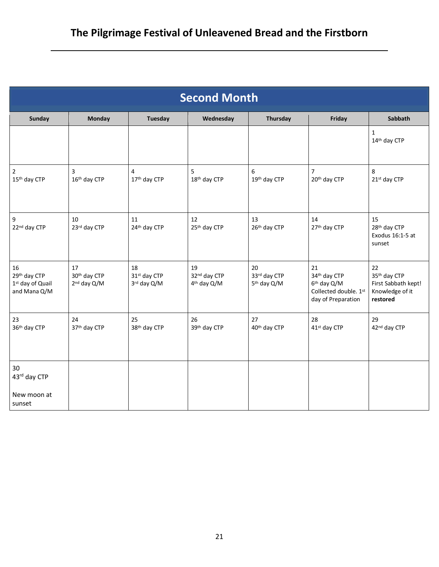| <b>Second Month</b>                                    |                                               |                                   |                                               |                                               |                                                                                              |                                                                          |  |
|--------------------------------------------------------|-----------------------------------------------|-----------------------------------|-----------------------------------------------|-----------------------------------------------|----------------------------------------------------------------------------------------------|--------------------------------------------------------------------------|--|
| <b>Sunday</b>                                          | <b>Monday</b>                                 | <b>Tuesday</b>                    | Wednesday                                     | Thursday                                      | Friday                                                                                       | Sabbath                                                                  |  |
|                                                        |                                               |                                   |                                               |                                               |                                                                                              | $\mathbf{1}$<br>14th day CTP                                             |  |
| 2<br>15th day CTP                                      | 3<br>16th day CTP                             | 4<br>17th day CTP                 | 5<br>18th day CTP                             | 6<br>19th day CTP                             | 7<br>20th day CTP                                                                            | 8<br>21st day CTP                                                        |  |
| 9<br>22nd day CTP                                      | 10<br>23rd day CTP                            | 11<br>24th day CTP                | 12<br>25 <sup>th</sup> day CTP                | 13<br>26th day CTP                            | 14<br>27th day CTP                                                                           | 15<br>28th day CTP<br>Exodus 16:1-5 at<br>sunset                         |  |
| 16<br>29th day CTP<br>1st day of Quail<br>and Mana Q/M | 17<br>30th day CTP<br>2 <sup>nd</sup> day Q/M | 18<br>31st day CTP<br>3rd day Q/M | 19<br>32nd day CTP<br>4 <sup>th</sup> day Q/M | 20<br>33rd day CTP<br>5 <sup>th</sup> day Q/M | 21<br>34th day CTP<br>6 <sup>th</sup> day Q/M<br>Collected double. 1st<br>day of Preparation | 22<br>35th day CTP<br>First Sabbath kept!<br>Knowledge of it<br>restored |  |
| 23<br>36th day CTP                                     | 24<br>37th day CTP                            | 25<br>38th day CTP                | 26<br>39th day CTP                            | 27<br>40 <sup>th</sup> day CTP                | 28<br>41 <sup>st</sup> day CTP                                                               | 29<br>42nd day CTP                                                       |  |
| 30<br>43rd day CTP<br>New moon at<br>sunset            |                                               |                                   |                                               |                                               |                                                                                              |                                                                          |  |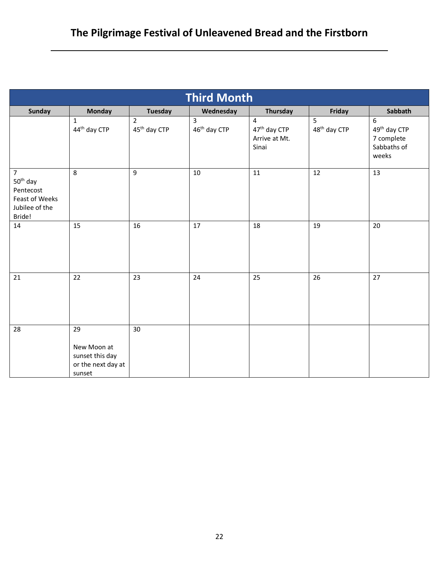| <b>Third Month</b>                                                                                |                                                                      |                                            |                               |                                                         |                               |                                                                     |
|---------------------------------------------------------------------------------------------------|----------------------------------------------------------------------|--------------------------------------------|-------------------------------|---------------------------------------------------------|-------------------------------|---------------------------------------------------------------------|
| Sunday                                                                                            | Monday                                                               | <b>Tuesday</b>                             | Wednesday                     | Thursday                                                | Friday                        | Sabbath                                                             |
|                                                                                                   | 1<br>44 <sup>th</sup> day CTP                                        | $\overline{2}$<br>45 <sup>th</sup> day CTP | 3<br>46 <sup>th</sup> day CTP | 4<br>47 <sup>th</sup> day CTP<br>Arrive at Mt.<br>Sinai | 5<br>48 <sup>th</sup> day CTP | 6<br>49 <sup>th</sup> day CTP<br>7 complete<br>Sabbaths of<br>weeks |
| $\overline{7}$<br>50 <sup>th</sup> day<br>Pentecost<br>Feast of Weeks<br>Jubilee of the<br>Bride! | 8                                                                    | 9                                          | 10                            | 11                                                      | 12                            | 13                                                                  |
| 14                                                                                                | 15                                                                   | 16                                         | 17                            | 18                                                      | 19                            | 20                                                                  |
| 21                                                                                                | 22                                                                   | 23                                         | 24                            | 25                                                      | 26                            | 27                                                                  |
| 28                                                                                                | 29<br>New Moon at<br>sunset this day<br>or the next day at<br>sunset | 30                                         |                               |                                                         |                               |                                                                     |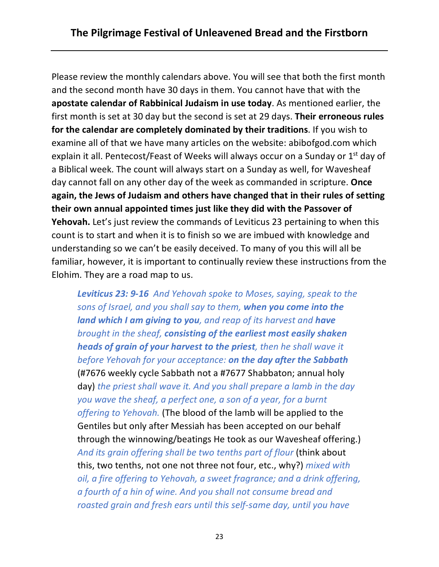Please review the monthly calendars above. You will see that both the first month and the second month have 30 days in them. You cannot have that with the **apostate calendar of Rabbinical Judaism in use today**. As mentioned earlier, the first month is set at 30 day but the second is set at 29 days. **Their erroneous rules for the calendar are completely dominated by their traditions**. If you wish to examine all of that we have many articles on the website: abibofgod.com which explain it all. Pentecost/Feast of Weeks will always occur on a Sunday or 1<sup>st</sup> day of a Biblical week. The count will always start on a Sunday as well, for Wavesheaf day cannot fall on any other day of the week as commanded in scripture. **Once again, the Jews of Judaism and others have changed that in their rules of setting their own annual appointed times just like they did with the Passover of Yehovah.** Let's just review the commands of Leviticus 23 pertaining to when this count is to start and when it is to finish so we are imbued with knowledge and understanding so we can't be easily deceived. To many of you this will all be familiar, however, it is important to continually review these instructions from the Elohim. They are a road map to us.

*Leviticus 23: 9-16 And Yehovah spoke to Moses, saying, speak to the sons of Israel, and you shall say to them, when you come into the land which I am giving to you, and reap of its harvest and have brought in the sheaf, consisting of the earliest most easily shaken heads of grain of your harvest to the priest, then he shall wave it before Yehovah for your acceptance: on the day after the Sabbath* (#7676 weekly cycle Sabbath not a #7677 Shabbaton; annual holy day) *the priest shall wave it. And you shall prepare a lamb in the day you wave the sheaf, a perfect one, a son of a year, for a burnt offering to Yehovah.* (The blood of the lamb will be applied to the Gentiles but only after Messiah has been accepted on our behalf through the winnowing/beatings He took as our Wavesheaf offering.) *And its grain offering shall be two tenths part of flour* (think about this, two tenths, not one not three not four, etc., why?) *mixed with oil, a fire offering to Yehovah, a sweet fragrance; and a drink offering, a fourth of a hin of wine. And you shall not consume bread and roasted grain and fresh ears until this self-same day, until you have*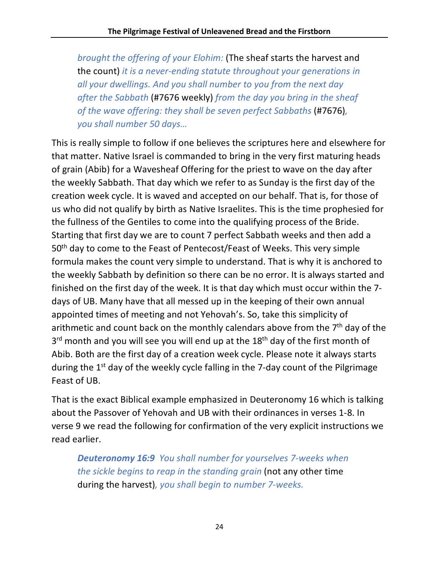*brought the offering of your Elohim:* (The sheaf starts the harvest and the count) *it is a never-ending statute throughout your generations in all your dwellings. And you shall number to you from the next day after the Sabbath* (#7676 weekly) *from the day you bring in the sheaf of the wave offering: they shall be seven perfect Sabbaths (#7676)*, *you shall number 50 days…*

This is really simple to follow if one believes the scriptures here and elsewhere for that matter. Native Israel is commanded to bring in the very first maturing heads of grain (Abib) for a Wavesheaf Offering for the priest to wave on the day after the weekly Sabbath. That day which we refer to as Sunday is the first day of the creation week cycle. It is waved and accepted on our behalf. That is, for those of us who did not qualify by birth as Native Israelites. This is the time prophesied for the fullness of the Gentiles to come into the qualifying process of the Bride. Starting that first day we are to count 7 perfect Sabbath weeks and then add a 50<sup>th</sup> day to come to the Feast of Pentecost/Feast of Weeks. This very simple formula makes the count very simple to understand. That is why it is anchored to the weekly Sabbath by definition so there can be no error. It is always started and finished on the first day of the week. It is that day which must occur within the 7 days of UB. Many have that all messed up in the keeping of their own annual appointed times of meeting and not Yehovah's. So, take this simplicity of arithmetic and count back on the monthly calendars above from the  $7<sup>th</sup>$  day of the 3<sup>rd</sup> month and you will see you will end up at the 18<sup>th</sup> day of the first month of Abib. Both are the first day of a creation week cycle. Please note it always starts during the  $1<sup>st</sup>$  day of the weekly cycle falling in the 7-day count of the Pilgrimage Feast of UB.

That is the exact Biblical example emphasized in Deuteronomy 16 which is talking about the Passover of Yehovah and UB with their ordinances in verses 1-8. In verse 9 we read the following for confirmation of the very explicit instructions we read earlier.

*Deuteronomy 16:9 You shall number for yourselves 7-weeks when the sickle begins to reap in the standing grain* (not any other time during the harvest)*, you shall begin to number 7-weeks.*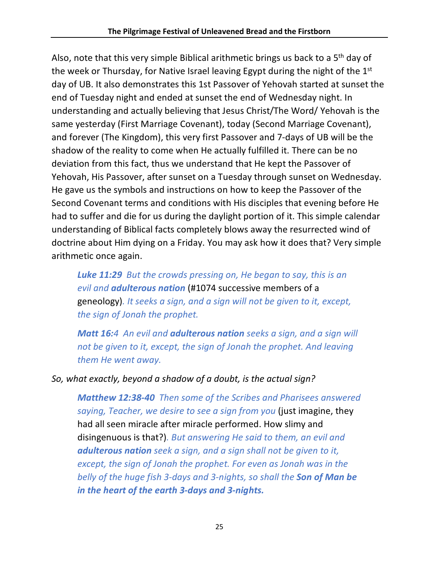Also, note that this very simple Biblical arithmetic brings us back to a 5<sup>th</sup> day of the week or Thursday, for Native Israel leaving Egypt during the night of the 1<sup>st</sup> day of UB. It also demonstrates this 1st Passover of Yehovah started at sunset the end of Tuesday night and ended at sunset the end of Wednesday night. In understanding and actually believing that Jesus Christ/The Word/ Yehovah is the same yesterday (First Marriage Covenant), today (Second Marriage Covenant), and forever (The Kingdom), this very first Passover and 7-days of UB will be the shadow of the reality to come when He actually fulfilled it. There can be no deviation from this fact, thus we understand that He kept the Passover of Yehovah, His Passover, after sunset on a Tuesday through sunset on Wednesday. He gave us the symbols and instructions on how to keep the Passover of the Second Covenant terms and conditions with His disciples that evening before He had to suffer and die for us during the daylight portion of it. This simple calendar understanding of Biblical facts completely blows away the resurrected wind of doctrine about Him dying on a Friday. You may ask how it does that? Very simple arithmetic once again.

*Luke 11:29 But the crowds pressing on, He began to say, this is an evil and adulterous nation* (#1074 successive members of a geneology)*. It seeks a sign, and a sign will not be given to it, except, the sign of Jonah the prophet.*

*Matt 16:4 An evil and adulterous nation seeks a sign, and a sign will not be given to it, except, the sign of Jonah the prophet. And leaving them He went away.*

#### *So, what exactly, beyond a shadow of a doubt, is the actual sign?*

*Matthew 12:38-40 Then some of the Scribes and Pharisees answered saying, Teacher, we desire to see a sign from you* (just imagine, they had all seen miracle after miracle performed. How slimy and disingenuous is that?)*. But answering He said to them, an evil and adulterous nation seek a sign, and a sign shall not be given to it, except, the sign of Jonah the prophet. For even as Jonah was in the belly of the huge fish 3-days and 3-nights, so shall the Son of Man be in the heart of the earth 3-days and 3-nights.*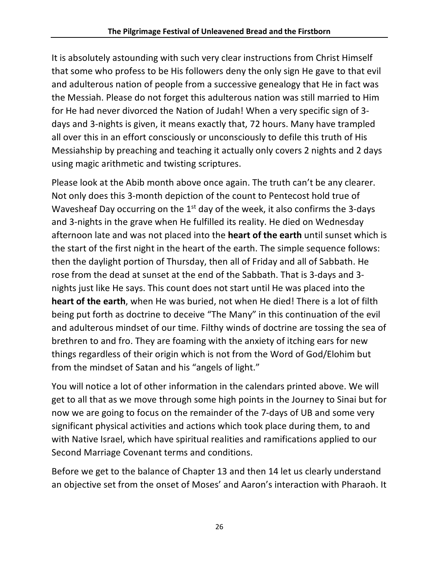It is absolutely astounding with such very clear instructions from Christ Himself that some who profess to be His followers deny the only sign He gave to that evil and adulterous nation of people from a successive genealogy that He in fact was the Messiah. Please do not forget this adulterous nation was still married to Him for He had never divorced the Nation of Judah! When a very specific sign of 3 days and 3-nights is given, it means exactly that, 72 hours. Many have trampled all over this in an effort consciously or unconsciously to defile this truth of His Messiahship by preaching and teaching it actually only covers 2 nights and 2 days using magic arithmetic and twisting scriptures.

Please look at the Abib month above once again. The truth can't be any clearer. Not only does this 3-month depiction of the count to Pentecost hold true of Wavesheaf Day occurring on the  $1<sup>st</sup>$  day of the week, it also confirms the 3-days and 3-nights in the grave when He fulfilled its reality. He died on Wednesday afternoon late and was not placed into the **heart of the earth** until sunset which is the start of the first night in the heart of the earth. The simple sequence follows: then the daylight portion of Thursday, then all of Friday and all of Sabbath. He rose from the dead at sunset at the end of the Sabbath. That is 3-days and 3 nights just like He says. This count does not start until He was placed into the **heart of the earth**, when He was buried, not when He died! There is a lot of filth being put forth as doctrine to deceive "The Many" in this continuation of the evil and adulterous mindset of our time. Filthy winds of doctrine are tossing the sea of brethren to and fro. They are foaming with the anxiety of itching ears for new things regardless of their origin which is not from the Word of God/Elohim but from the mindset of Satan and his "angels of light."

You will notice a lot of other information in the calendars printed above. We will get to all that as we move through some high points in the Journey to Sinai but for now we are going to focus on the remainder of the 7-days of UB and some very significant physical activities and actions which took place during them, to and with Native Israel, which have spiritual realities and ramifications applied to our Second Marriage Covenant terms and conditions.

Before we get to the balance of Chapter 13 and then 14 let us clearly understand an objective set from the onset of Moses' and Aaron's interaction with Pharaoh. It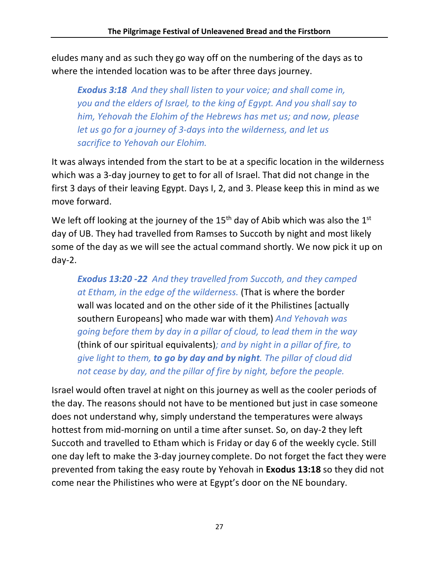eludes many and as such they go way off on the numbering of the days as to where the intended location was to be after three days journey.

*Exodus 3:18 And they shall listen to your voice; and shall come in, you and the elders of Israel, to the king of Egypt. And you shall say to him, Yehovah the Elohim of the Hebrews has met us; and now, please let us go for a journey of 3-days into the wilderness, and let us sacrifice to Yehovah our Elohim.*

It was always intended from the start to be at a specific location in the wilderness which was a 3-day journey to get to for all of Israel. That did not change in the first 3 days of their leaving Egypt. Days I, 2, and 3. Please keep this in mind as we move forward.

We left off looking at the journey of the  $15<sup>th</sup>$  day of Abib which was also the  $1<sup>st</sup>$ day of UB. They had travelled from Ramses to Succoth by night and most likely some of the day as we will see the actual command shortly. We now pick it up on day-2.

*Exodus 13:20 -22 And they travelled from Succoth, and they camped at Etham, in the edge of the wilderness.* (That is where the border wall was located and on the other side of it the Philistines [actually southern Europeans] who made war with them) *And Yehovah was going before them by day in a pillar of cloud, to lead them in the way*  (think of our spiritual equivalents)*; and by night in a pillar of fire, to give light to them, to go by day and by night. The pillar of cloud did not cease by day, and the pillar of fire by night, before the people.*

Israel would often travel at night on this journey as well as the cooler periods of the day. The reasons should not have to be mentioned but just in case someone does not understand why, simply understand the temperatures were always hottest from mid-morning on until a time after sunset. So, on day-2 they left Succoth and travelled to Etham which is Friday or day 6 of the weekly cycle. Still one day left to make the 3-day journey complete. Do not forget the fact they were prevented from taking the easy route by Yehovah in **Exodus 13:18** so they did not come near the Philistines who were at Egypt's door on the NE boundary.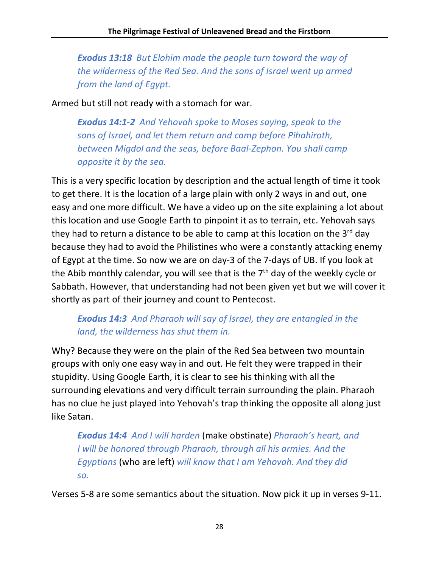*Exodus 13:18 But Elohim made the people turn toward the way of the wilderness of the Red Sea. And the sons of Israel went up armed from the land of Egypt.*

Armed but still not ready with a stomach for war.

*Exodus 14:1-2 And Yehovah spoke to Moses saying, speak to the sons of Israel, and let them return and camp before Pihahiroth, between Migdol and the seas, before Baal-Zephon. You shall camp opposite it by the sea.*

This is a very specific location by description and the actual length of time it took to get there. It is the location of a large plain with only 2 ways in and out, one easy and one more difficult. We have a video up on the site explaining a lot about this location and use Google Earth to pinpoint it as to terrain, etc. Yehovah says they had to return a distance to be able to camp at this location on the  $3^{rd}$  day because they had to avoid the Philistines who were a constantly attacking enemy of Egypt at the time. So now we are on day-3 of the 7-days of UB. If you look at the Abib monthly calendar, you will see that is the  $7<sup>th</sup>$  day of the weekly cycle or Sabbath. However, that understanding had not been given yet but we will cover it shortly as part of their journey and count to Pentecost.

## *Exodus 14:3 And Pharaoh will say of Israel, they are entangled in the land, the wilderness has shut them in.*

Why? Because they were on the plain of the Red Sea between two mountain groups with only one easy way in and out. He felt they were trapped in their stupidity. Using Google Earth, it is clear to see his thinking with all the surrounding elevations and very difficult terrain surrounding the plain. Pharaoh has no clue he just played into Yehovah's trap thinking the opposite all along just like Satan.

*Exodus 14:4 And I will harden* (make obstinate) *Pharaoh's heart, and I will be honored through Pharaoh, through all his armies. And the Egyptians* (who are left) *will know that I am Yehovah. And they did so.*

Verses 5-8 are some semantics about the situation. Now pick it up in verses 9-11.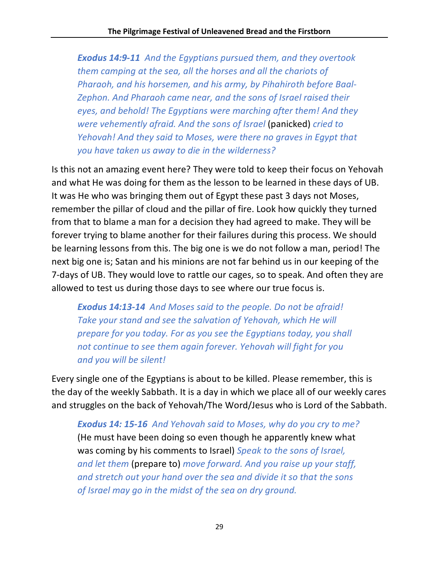*Exodus 14:9-11 And the Egyptians pursued them, and they overtook them camping at the sea, all the horses and all the chariots of Pharaoh, and his horsemen, and his army, by Pihahiroth before Baal-Zephon. And Pharaoh came near, and the sons of Israel raised their eyes, and behold! The Egyptians were marching after them! And they were vehemently afraid. And the sons of Israel* (panicked) *cried to Yehovah! And they said to Moses, were there no graves in Egypt that you have taken us away to die in the wilderness?*

Is this not an amazing event here? They were told to keep their focus on Yehovah and what He was doing for them as the lesson to be learned in these days of UB. It was He who was bringing them out of Egypt these past 3 days not Moses, remember the pillar of cloud and the pillar of fire. Look how quickly they turned from that to blame a man for a decision they had agreed to make. They will be forever trying to blame another for their failures during this process. We should be learning lessons from this. The big one is we do not follow a man, period! The next big one is; Satan and his minions are not far behind us in our keeping of the 7-days of UB. They would love to rattle our cages, so to speak. And often they are allowed to test us during those days to see where our true focus is.

*Exodus 14:13-14 And Moses said to the people. Do not be afraid! Take your stand and see the salvation of Yehovah, which He will prepare for you today. For as you see the Egyptians today, you shall not continue to see them again forever. Yehovah will fight for you and you will be silent!*

Every single one of the Egyptians is about to be killed. Please remember, this is the day of the weekly Sabbath. It is a day in which we place all of our weekly cares and struggles on the back of Yehovah/The Word/Jesus who is Lord of the Sabbath.

*Exodus 14: 15-16 And Yehovah said to Moses, why do you cry to me?*  (He must have been doing so even though he apparently knew what was coming by his comments to Israel) *Speak to the sons of Israel, and let them* (prepare to) *move forward. And you raise up your staff, and stretch out your hand over the sea and divide it so that the sons of Israel may go in the midst of the sea on dry ground.*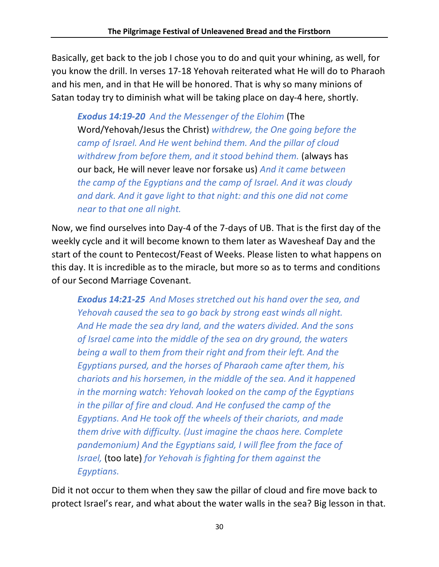Basically, get back to the job I chose you to do and quit your whining, as well, for you know the drill. In verses 17-18 Yehovah reiterated what He will do to Pharaoh and his men, and in that He will be honored. That is why so many minions of Satan today try to diminish what will be taking place on day-4 here, shortly.

*Exodus 14:19-20 And the Messenger of the Elohim* (The Word/Yehovah/Jesus the Christ) *withdrew, the One going before the camp of Israel. And He went behind them. And the pillar of cloud*  withdrew from before them, and it stood behind them. (always has our back, He will never leave nor forsake us) *And it came between the camp of the Egyptians and the camp of Israel. And it was cloudy and dark. And it gave light to that night: and this one did not come near to that one all night.*

Now, we find ourselves into Day-4 of the 7-days of UB. That is the first day of the weekly cycle and it will become known to them later as Wavesheaf Day and the start of the count to Pentecost/Feast of Weeks. Please listen to what happens on this day. It is incredible as to the miracle, but more so as to terms and conditions of our Second Marriage Covenant.

*Exodus 14:21-25 And Moses stretched out his hand over the sea, and Yehovah caused the sea to go back by strong east winds all night. And He made the sea dry land, and the waters divided. And the sons of Israel came into the middle of the sea on dry ground, the waters being a wall to them from their right and from their left. And the Egyptians pursed, and the horses of Pharaoh came after them, his chariots and his horsemen, in the middle of the sea. And it happened in the morning watch: Yehovah looked on the camp of the Egyptians in the pillar of fire and cloud. And He confused the camp of the Egyptians. And He took off the wheels of their chariots, and made them drive with difficulty. (Just imagine the chaos here. Complete pandemonium) And the Egyptians said, I will flee from the face of Israel,* (too late) *for Yehovah is fighting for them against the Egyptians.*

Did it not occur to them when they saw the pillar of cloud and fire move back to protect Israel's rear, and what about the water walls in the sea? Big lesson in that.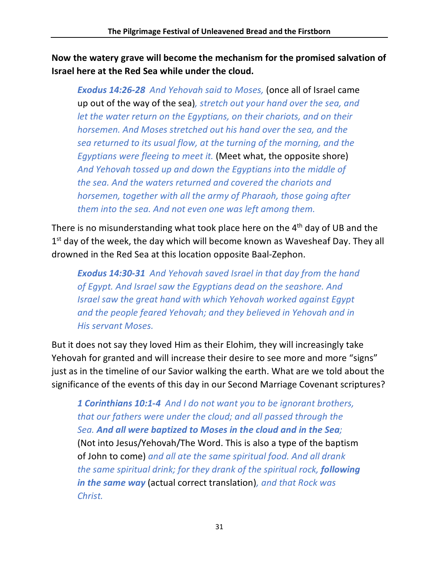**Now the watery grave will become the mechanism for the promised salvation of Israel here at the Red Sea while under the cloud.**

*Exodus 14:26-28 And Yehovah said to Moses,* (once all of Israel came up out of the way of the sea)*, stretch out your hand over the sea, and let the water return on the Egyptians, on their chariots, and on their horsemen. And Moses stretched out his hand over the sea, and the sea returned to its usual flow, at the turning of the morning, and the Egyptians were fleeing to meet it.* (Meet what, the opposite shore) *And Yehovah tossed up and down the Egyptians into the middle of the sea. And the waters returned and covered the chariots and horsemen, together with all the army of Pharaoh, those going after them into the sea. And not even one was left among them.*

There is no misunderstanding what took place here on the 4th day of UB and the 1<sup>st</sup> day of the week, the day which will become known as Wavesheaf Day. They all drowned in the Red Sea at this location opposite Baal-Zephon.

*Exodus 14:30-31 And Yehovah saved Israel in that day from the hand of Egypt. And Israel saw the Egyptians dead on the seashore. And Israel saw the great hand with which Yehovah worked against Egypt and the people feared Yehovah; and they believed in Yehovah and in His servant Moses.*

But it does not say they loved Him as their Elohim, they will increasingly take Yehovah for granted and will increase their desire to see more and more "signs" just as in the timeline of our Savior walking the earth. What are we told about the significance of the events of this day in our Second Marriage Covenant scriptures?

*1 Corinthians 10:1-4 And I do not want you to be ignorant brothers, that our fathers were under the cloud; and all passed through the Sea. And all were baptized to Moses in the cloud and in the Sea;*  (Not into Jesus/Yehovah/The Word. This is also a type of the baptism of John to come) *and all ate the same spiritual food. And all drank the same spiritual drink; for they drank of the spiritual rock, following in the same way* (actual correct translation)*, and that Rock was Christ.*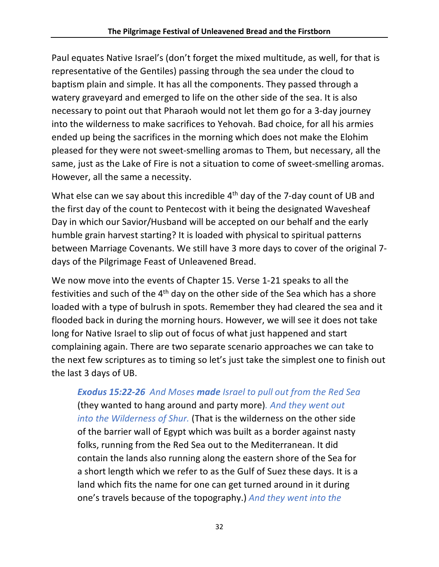Paul equates Native Israel's (don't forget the mixed multitude, as well, for that is representative of the Gentiles) passing through the sea under the cloud to baptism plain and simple. It has all the components. They passed through a watery graveyard and emerged to life on the other side of the sea. It is also necessary to point out that Pharaoh would not let them go for a 3-day journey into the wilderness to make sacrifices to Yehovah. Bad choice, for all his armies ended up being the sacrifices in the morning which does not make the Elohim pleased for they were not sweet-smelling aromas to Them, but necessary, all the same, just as the Lake of Fire is not a situation to come of sweet-smelling aromas. However, all the same a necessity.

What else can we say about this incredible  $4<sup>th</sup>$  day of the 7-day count of UB and the first day of the count to Pentecost with it being the designated Wavesheaf Day in which our Savior/Husband will be accepted on our behalf and the early humble grain harvest starting? It is loaded with physical to spiritual patterns between Marriage Covenants. We still have 3 more days to cover of the original 7 days of the Pilgrimage Feast of Unleavened Bread.

We now move into the events of Chapter 15. Verse 1-21 speaks to all the festivities and such of the 4<sup>th</sup> day on the other side of the Sea which has a shore loaded with a type of bulrush in spots. Remember they had cleared the sea and it flooded back in during the morning hours. However, we will see it does not take long for Native Israel to slip out of focus of what just happened and start complaining again. There are two separate scenario approaches we can take to the next few scriptures as to timing so let's just take the simplest one to finish out the last 3 days of UB.

*Exodus 15:22-26 And Moses made Israel to pull out from the Red Sea*  (they wanted to hang around and party more)*. And they went out into the Wilderness of Shur.* (That is the wilderness on the other side of the barrier wall of Egypt which was built as a border against nasty folks, running from the Red Sea out to the Mediterranean. It did contain the lands also running along the eastern shore of the Sea for a short length which we refer to as the Gulf of Suez these days. It is a land which fits the name for one can get turned around in it during one's travels because of the topography.) *And they went into the*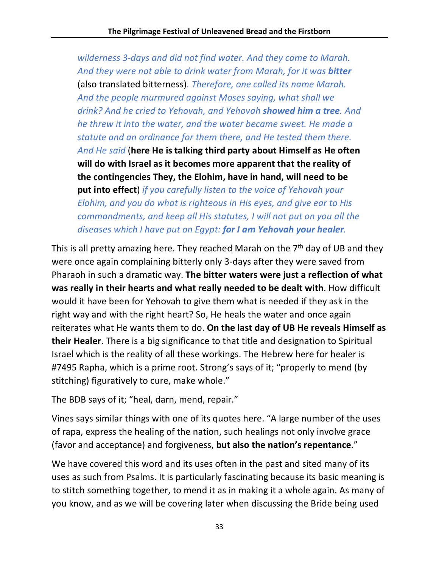*wilderness 3-days and did not find water. And they came to Marah. And they were not able to drink water from Marah, for it was bitter* (also translated bitterness)*. Therefore, one called its name Marah. And the people murmured against Moses saying, what shall we drink? And he cried to Yehovah, and Yehovah showed him a tree. And he threw it into the water, and the water became sweet. He made a statute and an ordinance for them there, and He tested them there. And He said* (**here He is talking third party about Himself as He often will do with Israel as it becomes more apparent that the reality of the contingencies They, the Elohim, have in hand, will need to be put into effect**) *if you carefully listen to the voice of Yehovah your Elohim, and you do what is righteous in His eyes, and give ear to His commandments, and keep all His statutes, I will not put on you all the diseases which I have put on Egypt: for I am Yehovah your healer.*

This is all pretty amazing here. They reached Marah on the  $7<sup>th</sup>$  day of UB and they were once again complaining bitterly only 3-days after they were saved from Pharaoh in such a dramatic way. **The bitter waters were just a reflection of what was really in their hearts and what really needed to be dealt with**. How difficult would it have been for Yehovah to give them what is needed if they ask in the right way and with the right heart? So, He heals the water and once again reiterates what He wants them to do. **On the last day of UB He reveals Himself as their Healer**. There is a big significance to that title and designation to Spiritual Israel which is the reality of all these workings. The Hebrew here for healer is #7495 Rapha, which is a prime root. Strong's says of it; "properly to mend (by stitching) figuratively to cure, make whole."

The BDB says of it; "heal, darn, mend, repair."

Vines says similar things with one of its quotes here. "A large number of the uses of rapa, express the healing of the nation, such healings not only involve grace (favor and acceptance) and forgiveness, **but also the nation's repentance**."

We have covered this word and its uses often in the past and sited many of its uses as such from Psalms. It is particularly fascinating because its basic meaning is to stitch something together, to mend it as in making it a whole again. As many of you know, and as we will be covering later when discussing the Bride being used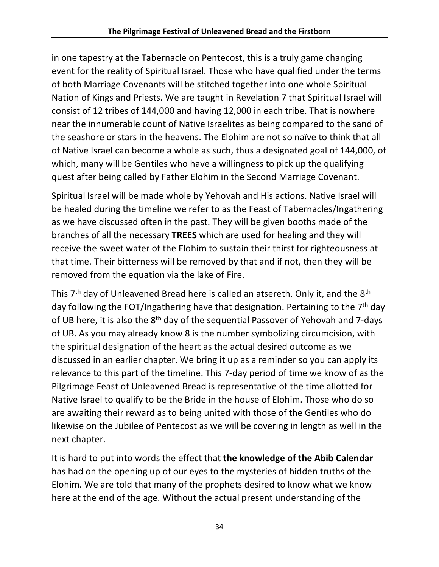in one tapestry at the Tabernacle on Pentecost, this is a truly game changing event for the reality of Spiritual Israel. Those who have qualified under the terms of both Marriage Covenants will be stitched together into one whole Spiritual Nation of Kings and Priests. We are taught in Revelation 7 that Spiritual Israel will consist of 12 tribes of 144,000 and having 12,000 in each tribe. That is nowhere near the innumerable count of Native Israelites as being compared to the sand of the seashore or stars in the heavens. The Elohim are not so naïve to think that all of Native Israel can become a whole as such, thus a designated goal of 144,000, of which, many will be Gentiles who have a willingness to pick up the qualifying quest after being called by Father Elohim in the Second Marriage Covenant.

Spiritual Israel will be made whole by Yehovah and His actions. Native Israel will be healed during the timeline we refer to as the Feast of Tabernacles/Ingathering as we have discussed often in the past. They will be given booths made of the branches of all the necessary **TREES** which are used for healing and they will receive the sweet water of the Elohim to sustain their thirst for righteousness at that time. Their bitterness will be removed by that and if not, then they will be removed from the equation via the lake of Fire.

This  $7<sup>th</sup>$  day of Unleavened Bread here is called an atsereth. Only it, and the  $8<sup>th</sup>$ day following the FOT/Ingathering have that designation. Pertaining to the  $7<sup>th</sup>$  day of UB here, it is also the 8<sup>th</sup> day of the sequential Passover of Yehovah and 7-days of UB. As you may already know 8 is the number symbolizing circumcision, with the spiritual designation of the heart as the actual desired outcome as we discussed in an earlier chapter. We bring it up as a reminder so you can apply its relevance to this part of the timeline. This 7-day period of time we know of as the Pilgrimage Feast of Unleavened Bread is representative of the time allotted for Native Israel to qualify to be the Bride in the house of Elohim. Those who do so are awaiting their reward as to being united with those of the Gentiles who do likewise on the Jubilee of Pentecost as we will be covering in length as well in the next chapter.

It is hard to put into words the effect that **the knowledge of the Abib Calendar** has had on the opening up of our eyes to the mysteries of hidden truths of the Elohim. We are told that many of the prophets desired to know what we know here at the end of the age. Without the actual present understanding of the